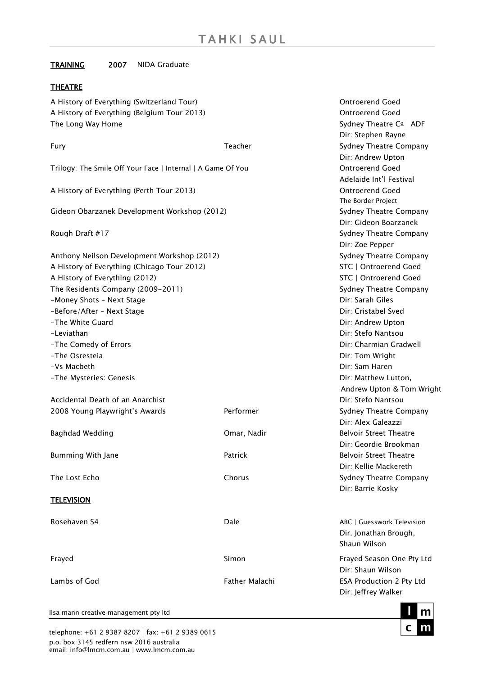# TRAINING 2007 NIDA Graduate

### THEATRE

A History of Everything (Switzerland Tour) and Social Controllery of Everything (Switzerland Tour) A History of Everything (Belgium Tour 2013) Channels Controller and Controller and Goed The Long Way Home  $Sy$ dney Theatre C<sup>o</sup> | ADF

|                                                             |                       | Dir: Stephen Rayne            |
|-------------------------------------------------------------|-----------------------|-------------------------------|
| Fury                                                        | Teacher               | Sydney Theatre Company        |
|                                                             |                       | Dir: Andrew Upton             |
| Trilogy: The Smile Off Your Face   Internal   A Game Of You |                       | <b>Ontroerend Goed</b>        |
|                                                             |                       | Adelaide Int'l Festival       |
| A History of Everything (Perth Tour 2013)                   |                       | <b>Ontroerend Goed</b>        |
|                                                             | The Border Project    |                               |
| Gideon Obarzanek Development Workshop (2012)                |                       | Sydney Theatre Company        |
|                                                             |                       | Dir: Gideon Boarzanek         |
| Rough Draft #17                                             |                       | Sydney Theatre Company        |
|                                                             |                       | Dir: Zoe Pepper               |
| Anthony Neilson Development Workshop (2012)                 |                       | Sydney Theatre Company        |
| A History of Everything (Chicago Tour 2012)                 |                       | STC   Ontroerend Goed         |
| A History of Everything (2012)                              | STC   Ontroerend Goed |                               |
| The Residents Company (2009-2011)                           |                       | Sydney Theatre Company        |
| -Money Shots - Next Stage                                   |                       | Dir: Sarah Giles              |
| -Before/After - Next Stage                                  |                       | Dir: Cristabel Sved           |
| -The White Guard                                            |                       | Dir: Andrew Upton             |
| -Leviathan                                                  |                       | Dir: Stefo Nantsou            |
| -The Comedy of Errors                                       |                       | Dir: Charmian Gradwell        |
| -The Osresteia                                              | Dir: Tom Wright       |                               |
| -Vs Macbeth                                                 |                       | Dir: Sam Haren                |
| -The Mysteries: Genesis                                     |                       | Dir: Matthew Lutton,          |
|                                                             |                       | Andrew Upton & Tom Wright     |
| Accidental Death of an Anarchist                            |                       | Dir: Stefo Nantsou            |
| 2008 Young Playwright's Awards                              | Performer             | Sydney Theatre Company        |
|                                                             |                       | Dir: Alex Galeazzi            |
| Baghdad Wedding                                             | Omar, Nadir           | <b>Belvoir Street Theatre</b> |
|                                                             |                       | Dir: Geordie Brookman         |
| Bumming With Jane                                           | Patrick               | <b>Belvoir Street Theatre</b> |
|                                                             |                       | Dir: Kellie Mackereth         |
| The Lost Echo                                               | Chorus                | Sydney Theatre Company        |
|                                                             |                       | Dir: Barrie Kosky             |
| <b>TELEVISION</b>                                           |                       |                               |
|                                                             |                       |                               |
| Rosehaven S4                                                | Dale                  | ABC   Guesswork Television    |
|                                                             |                       | Dir. Jonathan Brough,         |
|                                                             |                       | Shaun Wilson                  |
| Frayed                                                      | Simon                 | Frayed Season One Pty Ltd     |
|                                                             |                       | Dir: Shaun Wilson             |
| Lambs of God                                                | Father Malachi        | ESA Production 2 Pty Ltd      |
|                                                             |                       | Dir: Jeffrey Walker           |
|                                                             |                       |                               |

lisa mann creative management pty ltd